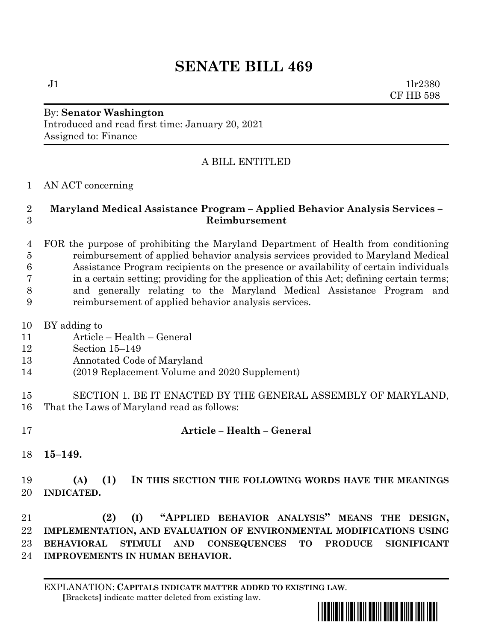## **SENATE BILL 469**

 $J1$   $1lr2380$ CF HB 598

## By: **Senator Washington** Introduced and read first time: January 20, 2021 Assigned to: Finance

## A BILL ENTITLED

AN ACT concerning

## **Maryland Medical Assistance Program – Applied Behavior Analysis Services – Reimbursement**

 FOR the purpose of prohibiting the Maryland Department of Health from conditioning reimbursement of applied behavior analysis services provided to Maryland Medical Assistance Program recipients on the presence or availability of certain individuals in a certain setting; providing for the application of this Act; defining certain terms; and generally relating to the Maryland Medical Assistance Program and reimbursement of applied behavior analysis services.

- BY adding to
- Article Health General
- Section 15–149
- Annotated Code of Maryland
- (2019 Replacement Volume and 2020 Supplement)
- SECTION 1. BE IT ENACTED BY THE GENERAL ASSEMBLY OF MARYLAND, That the Laws of Maryland read as follows:
- **Article – Health – General**
- **15–149.**
- **(A) (1) IN THIS SECTION THE FOLLOWING WORDS HAVE THE MEANINGS INDICATED.**

 **(2) (I) "APPLIED BEHAVIOR ANALYSIS" MEANS THE DESIGN, IMPLEMENTATION, AND EVALUATION OF ENVIRONMENTAL MODIFICATIONS USING BEHAVIORAL STIMULI AND CONSEQUENCES TO PRODUCE SIGNIFICANT IMPROVEMENTS IN HUMAN BEHAVIOR.**

EXPLANATION: **CAPITALS INDICATE MATTER ADDED TO EXISTING LAW**.  **[**Brackets**]** indicate matter deleted from existing law.